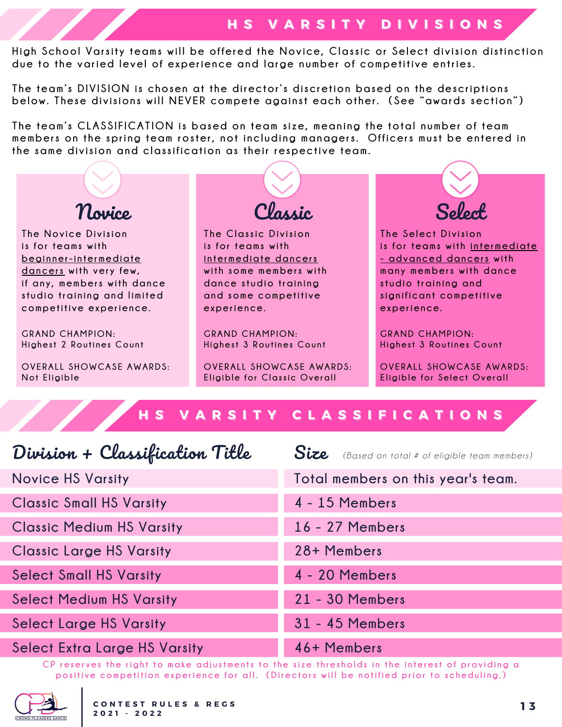## **HH SS VV AA RR SS II TT YY DD II VV II SS II OO NN SS**

High School Varsity teams will be offered the Novice, Classic or Select division distinction **due to t he varied level of experien ce and large n umber of competiti ve en tries.**

The team's DIVISION is chosen at the director's discretion based on the descriptions below. These divisions will NEVER compete against each other. (See "awards section")

The team's CLASSIFICATION is based on team size, meaning the total number of team members on the spring team roster, not including managers. Officers must be entered in **t he same di v ision and c lassi f i cation as t heir respec ti ve team.**



CP reserves the right to make adjustments to the size thresholds in the interest of providing a positive competition experience for all. (Directors will be notified prior to scheduling.)

**4 - 20 Members**

**21 - 30 Members**

**31 - 45 Members**

**46+ Members**



**Select Small HS Varsity**

**Select Medium HS Varsity**

**Select Extra Large HS Varsity**

**Select Large HS Varsity**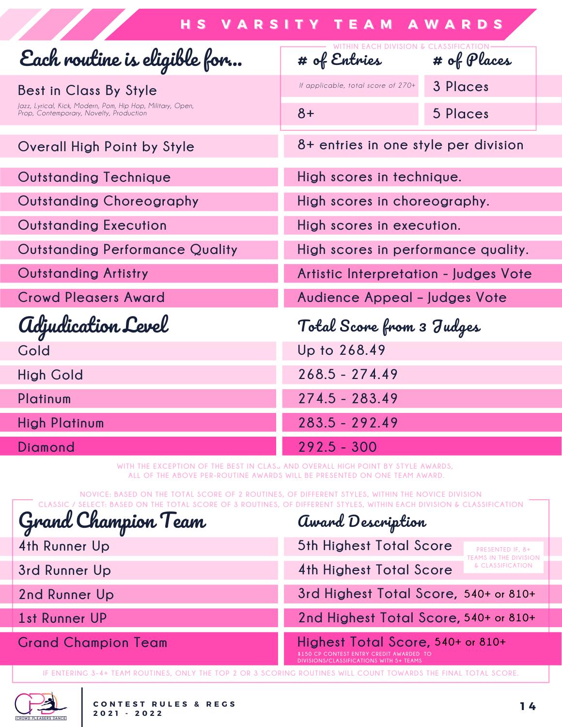| <b>HS VARSITY TEAM AWARDS</b>                                                                                                   |                                                       |             |  |
|---------------------------------------------------------------------------------------------------------------------------------|-------------------------------------------------------|-------------|--|
| Each routine is eligible for                                                                                                    | WITHIN EACH DIVISION & CLASSIFICATION<br># of Entries | # of Places |  |
| Best in Class By Style<br>Jazz, Lyrical, Kick, Modern, Pom, Hip Hop, Military, Open,<br>Prop, Contemporary, Novelty, Production | If applicable, total score of 270+                    | 3 Places    |  |
|                                                                                                                                 | $8+$                                                  | 5 Places    |  |
| <b>Overall High Point by Style</b>                                                                                              | 8+ entries in one style per division                  |             |  |
| <b>Outstanding Technique</b>                                                                                                    | High scores in technique.                             |             |  |
| <b>Outstanding Choreography</b>                                                                                                 | High scores in choreography.                          |             |  |
| <b>Outstanding Execution</b>                                                                                                    | High scores in execution.                             |             |  |
| <b>Outstanding Performance Quality</b>                                                                                          | High scores in performance quality.                   |             |  |
| <b>Outstanding Artistry</b>                                                                                                     | Artistic Interpretation - Judges Vote                 |             |  |
| <b>Crowd Pleasers Award</b>                                                                                                     | Audience Appeal - Judges Vote                         |             |  |
| <i><b>Adjudication Level</b></i>                                                                                                | Total Score from 3 Judges                             |             |  |
| Gold                                                                                                                            | Up to 268.49                                          |             |  |
| <b>High Gold</b>                                                                                                                | $268.5 - 274.49$                                      |             |  |
| Platinum                                                                                                                        | $274.5 - 283.49$                                      |             |  |
| <b>High Platinum</b>                                                                                                            | $283.5 - 292.49$                                      |             |  |
| Diamond                                                                                                                         | $292.5 - 300$                                         |             |  |

**WITH THE EXCEPTION OF THE BEST IN CLASS AND OVERALL HIGH POINT BY STYLE AWARDS, ALL OF THE ABOVE PER-ROUTINE AWARDS WILL BE PRESENTED ON ONE TEAM AWARD.**

**NOVICE: BASED ON THE TOTAL SCORE OF 2 ROUTINES, OF DIFFERENT STYLES, WITHIN THE NOVICE DIVISION** CLASSIC / SELECT: BASED ON THE TOTAL SCORE OF 3 ROUTINES, OF DIFFERENT STYLES, WITHIN EACH DIVISION & CLASSIFICATION

| Grand Champion Team        | award Description                                                                                                        |  |  |
|----------------------------|--------------------------------------------------------------------------------------------------------------------------|--|--|
| 4th Runner Up              | 5th Highest Total Score<br>PRESENTED IF, 8+<br>TEAMS IN THE DIVISION                                                     |  |  |
| 3rd Runner Up              | & CLASSIFICATION<br><b>4th Highest Total Score</b>                                                                       |  |  |
| 2nd Runner Up              | 3rd Highest Total Score, 540+ or 810+                                                                                    |  |  |
| 1st Runner UP              | 2nd Highest Total Score, 540+ or 810+                                                                                    |  |  |
| <b>Grand Champion Team</b> | Highest Total Score, 540+ or 810+<br>\$150 CP CONTEST ENTRY CREDIT AWARDED TO<br>DIVISIONS/CLASSIFICATIONS WITH 5+ TEAMS |  |  |

IF ENTERING 3-4+ TEAM ROUTINES, ONLY THE TOP 2 OR 3 SCORING ROUTINES WILL COUNT TOWARDS THE FINAL TOTAL SCORE.